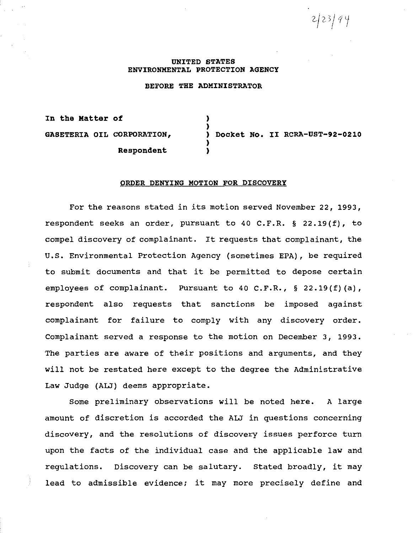*2)2>/11*  '

### **UNITED STATES ENVIRONMENTAL PROTECTION AGENCY**

#### **BEFORE THE ADMINISTRATOR**

)

)

**In the Matter of**  ) **GASETERIA OIL CORPORATION,** ) **Docket No. II RCRA-UST-92-0210 Respondent** )

### **ORDER DENYING MOTION FOR DISCOVERY**

For the reasons stated in its motion served November 22, 1993, respondent seeks an order, pursuant to 40 C.F.R. § 22.19(f), to compel discovery of complainant. It requests that complainant, the U.S. Environmental Protection Agency (sometimes EPA), be required to submit documents and that it be permitted to depose certain employees of complainant. Pursuant to 40 C.F.R., § 22.19(f)(a), respondent also requests that sanctions be imposed against complainant for failure to comply with any discovery order. Complainant served a response to the motion on December 3, 1993. The parties are aware of their positions and arguments, and they will not be restated here except to the degree the Administrative Law Judge (ALJ) deems appropriate.

Some preliminary observations will be noted here. A large amount of discretion is accorded the ALJ in questions concerning discovery, and the resolutions of discovery issues perforce turn upon the facts of the individual case and the applicable law and regulations. Discovery can be salutary. Stated broadly, it may lead to admissible evidence; it may more precisely define and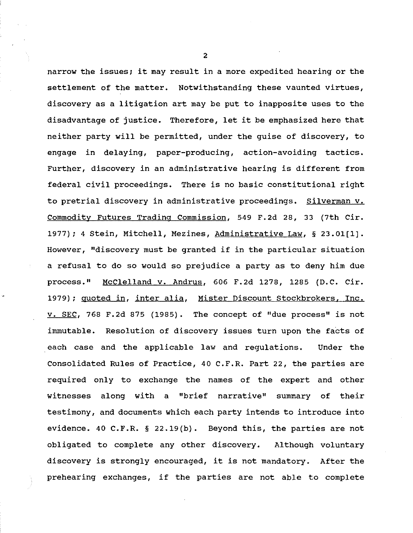narrow the issues; it may result in a more expedited hearing or the settlement of the matter. Notwithstanding these vaunted virtues, discovery as a litigation art may be put to inapposite uses to the disadvantage of justice. Therefore, let it be emphasized here that neither party will be permitted, under the guise of discovery, to engage in delaying, paper-producing, action-avoiding tactics. Further, discovery in an administrative hearing is different from federal civil proceedings. There is no basic constitutional right to pretrial discovery in administrative proceedings. Silverman v. Commodity Futures Trading Commission, 549 F.2d 28, 33 (7th Cir. 1977); 4 Stein, Mitchell, Mezines, Administrative Law, § 23.01(1]. However, "discovery must be granted if in the particular situation a refusal to do so would so prejudice a party as to deny him due process." McClelland v. Andrus, 606 F.2d 1278, 1285 (D.C. Cir. 1979); quoted in, inter alia, Mister Discount Stockbrokers, Inc. v. SEC, 768 F.2d 875 (1985). The concept of ''due process" is not immutable. Resolution of discovery issues turn upon the facts of each case and the applicable law and regulations. Under the Consolidated Rules of Practice, 40 C.F.R. Part 22, the parties are required only to exchange the names of the expert and other witnesses along with a "brief narrative" summary of their testimony, and documents which each party intends to introduce into evidence. 40 C.F.R. § 22.19(b). Beyond this, the parties are not obligated to complete any other discovery. Although voluntary discovery is strongly encouraged, it is not mandatory. After the prehearing exchanges, if the parties are not able to complete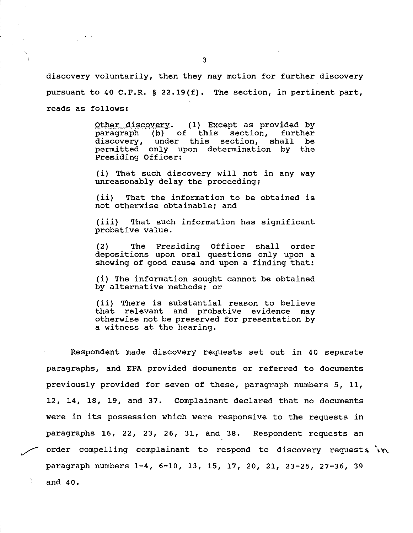discovery voluntarily, then they may motion for further discovery pursuant to 40 C.F.R. § 22.19(f). The section, in pertinent part, reads as follows:

> Other discovery. (1) Except as provided by paragraph (b) of this section, further discovery, under this section, shall be permitted only upon determination by the Presiding Officer:

> (i) That such discovery will not in any way unreasonably delay the proceeding;

> (ii) That the information to be obtained is not otherwise obtainable; and

> (iii) That such information has significant probative value.

> (2) The Presiding Officer shall order depositions upon oral questions only upon a showing of good cause and upon a finding that:

> (i) The information sought cannot be obtained by alternative methods; or

> (ii) There is substantial reason to believe that relevant and probative evidence may otherwise not be preserved for presentation by a witness at the hearing.

Respondent made discovery requests set out in 40 separate paragraphs, and EPA provided documents or referred to documents previously provided for seven of these, paragraph numbers 5, 11, 12, 14, 18, 19, and 37. Complainant declared that no documents were in its possession which were responsive to the requests in paragraphs 16, *22,* 23, 26, 31, and 38. Respondent requests an order compelling complainant to respond to discovery requests  $\forall x$ . paragraph numbers 1-4, 6-10, 13, 15, 17, 20, 21, 23-25, 27-36, 39 and 40.

 $\frac{1}{2}$  ,  $\frac{1}{2}$  ,  $\frac{1}{2}$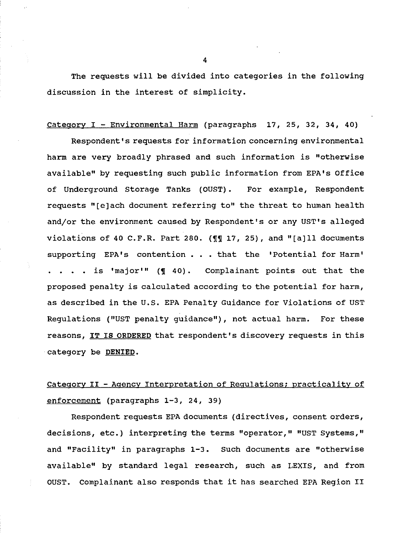The requests will be divided into categories in the following discussion in the interest of simplicity.

### Category I - Environmental Harm (paragraphs 17, 25, 32, 34, 40)

Respondent's requests for information concerning environmental harm are very broadly phrased and such information is "otherwise available" by requesting such public information from EPA's Office of Underground Storage Tanks (OUST). For example, Respondent requests "[e]ach document referring to" the threat to human health andjor the environment caused by Respondent's or any UST's alleged violations of 40 C.F.R. Part 280. ( $\P$  $\P$  17, 25), and "[a]ll documents supporting EPA's contention • • that the 'Potential for Harm'  $\cdot$  . is 'major'" ( $\llbracket$  40). Complainant points out that the proposed penalty is calculated according to the potential for harm, as described in the U.S. EPA Penalty Guidance for Violations of UST Regulations ("UST penalty guidance"), not actual harm. For these reasons, IT IS ORDERED that respondent's discovery requests in this category be DENIED.

# Category II - Agency Interpretation of Regulations; practicality of enforcement (paragraphs 1-3, 24, 39)

Respondent requests EPA documents (directives, consent orders, decisions, etc.) interpreting the terms "operator," "UST Systems," and "Facility" in paragraphs 1-3. such documents are "otherwise available" by standard legal research, such as LEXIS, and from OUST. Complainant also responds that it has searched EPA Region II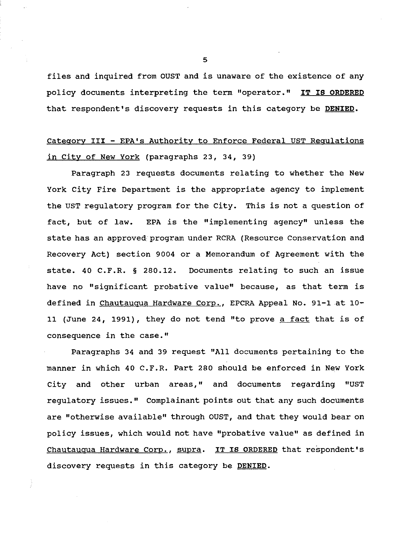files and inquired from OUST and is unaware of the existence of any policy documents interpreting the term "operator." IT IS ORDERED that respondent's discovery requests in this category be DENIED.

## Category III - EPA's Authority to Enforce Federal UST Regulations in City of New York (paragraphs 23, 34, 39)

Paragraph 23 requests documents relating to whether the New York City Fire Department is the appropriate agency to implement the UST regulatory program for the City. This is not a question of fact, but of law. EPA is the "implementing agency" unless the state has an approved program under RCRA (Resource Conservation and Recovery Act) section 9004 or a Memorandum of Agreement with the state. 40 C.F.R. § 280.12. Documents relating to such an issue have no "significant probative value" because, as that term is defined in Chautauqua Hardware Corp., EPCRA Appeal No. 91-1 at 10-11 (June 24, 1991), they do not tend "to prove a fact that is of consequence in the case."

Paragraphs 34 and 39 request "All documents pertaining to the manner in which 40 C.F.R. Part 280 should be enforced in New York city and other urban areas," and documents regarding "UST regulatory issues." Complainant points out that any such documents are "otherwise available" through OUST, and that they would bear on policy issues, which would not have "probative value" as defined in Chautauqua Hardware Corp., supra. IT IS ORDERED that respondent's discovery requests in this category be DENIED.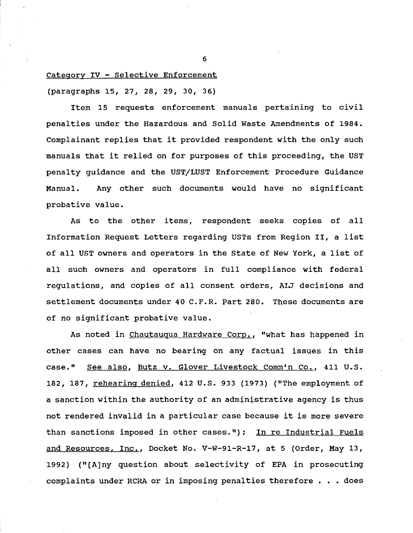### Category IV - Selective Enforcement

(paragraphs 15, 27, 28, 29, 30, 36)

Item 15 requests enforcement manuals pertaining to civil penalties under the Hazardous and Solid Waste Amendments of 1984. Complainant replies that it provided respondent with the only such manuals that it relied on for purposes of this proceeding, the UST penalty guidance and the UST/LUST Enforcement Procedure Guidance Manual. Any other such documents would have no significant probative value.

As to the other items, respondent seeks copies of all Information Request Letters regarding USTs from Region II, a list of all UST owners and operators in the State of New York, a list of all such owners and operators in full compliance with federal regulations, and copies of all consent orders, ALJ decisions and settlement documents under 40 C.F.R. Part 280. These documents are of no significant probative value.

As noted in Chautauqua Hardware Corp., "what has happened in other cases can have no bearing on any factual issues in this case." See also, Butz v. Glover Livestock Comm'n Co., 411 U.S. 182, 187, rehearing denied, 412 U.S. 933 (1973) ("The employment of a sanction within the authority of an administrative agency is thus not rendered invalid in a particular case because it is more severe than sanctions imposed in other cases."); In re Industrial Fuels and Resources. Inc., Docket No. V-W-91-R-17, at 5 (Order, May 13, 1992) ("[A]ny question about selectivity of EPA in prosecuting complaints under RCRA or in imposing penalties therefore  $\ldots$  does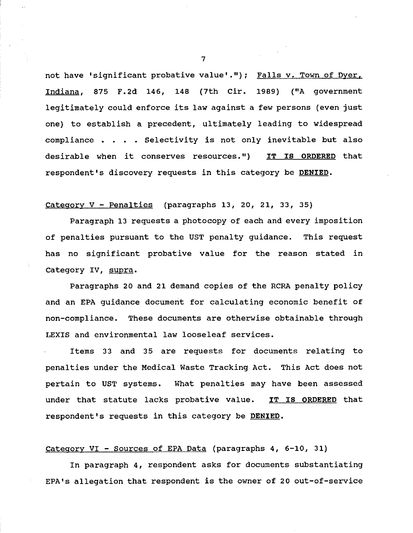not have 'significant probative value'."); Falls v. Town of Dyer. Indiana, 875 F.2d 146, 148 (7th Cir. 1989) ("A government legitimately could enforce its law against a few persons (even just one) to establish a precedent, ultimately leading to widespread compliance  $\cdots$   $\cdots$  . Selectivity is not only inevitable but also desirable when it conserves resources.") IT IS ORDERED that respondent's discovery requests in this category be DENIED.

### Category V - Penalties (paragraphs 13, 20, 21, 33, 35)

Paragraph 13 requests a photocopy of each and every imposition of penalties pursuant to the UST penalty guidance. This request has no significant probative value for the reason stated in Category IV, supra.

Paragraphs 20 and 21 demand copies of the RCRA penalty policy and an EPA guidance document for calculating economic benefit of non-compliance. These documents are otherwise obtainable through LEXIS and environmental law looseleaf services.

Items 33 and 35 are requests for documents relating to penalties under the Medical Waste Tracking Act. This Act does not pertain to UST systems. What penalties may have been assessed under that statute lacks probative value. IT IS ORDERED that respondent's requests in this category be DENIED.

### Category VI - Sources of EPA Data (paragraphs 4, 6-10, 31)

In paragraph 4, respondent asks for documents substantiating EPA's allegation that respondent is the owner of 20 out-of-service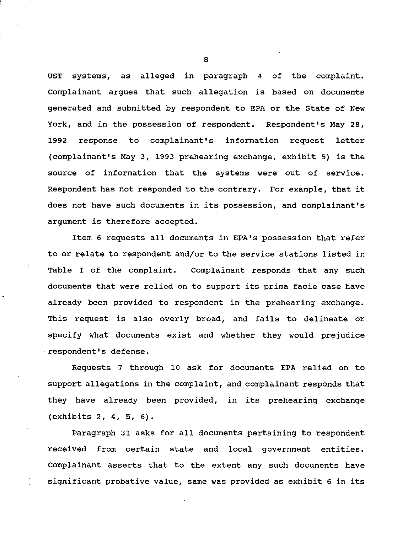UST systems, as alleged in paragraph 4 of the complaint. Complainant argues that such allegation is based on documents generated and submitted by respondent to EPA or the State of New York, and in the possession of respondent. Respondent's May 28, 1992 response to complainant's information request letter (complainant's May 3, 1993 prehearing exchange, exhibit 5) is the source of information that the systems were out of service. Respondent has not responded to the contrary. For example, that it does not have such documents in its possession, and complainant's argument is therefore accepted.

Item 6 requests all documents in EPA's possession that refer to or relate to respondent and/or to the service stations listed in Table I of the complaint. Complainant responds that any such documents that were relied on to support its prima facie case have already been provided to respondent in the prehearing exchange. This request is also overly broad, and fails to delineate or specify what documents exist and whether they would prejudice respondent's defense.

Requests 7 through 10 ask for documents EPA relied on to support allegations in the complaint, and complainant responds that they have already been provided, in its prehearing exchange (exhibits 2, 4, 5, 6).

Paragraph 31 asks for all documents pertaining to respondent received from certain state and local government entities. Complainant asserts that to the extent any such documents have significant probative value, same was provided as exhibit 6 in its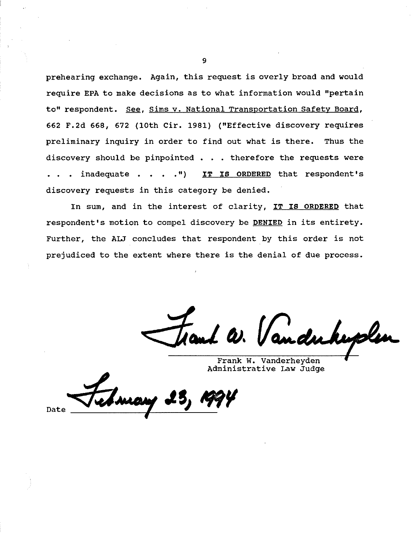prehearing exchange. Again, this request is overly broad and would require EPA to make decisions as to what information would "pertain to" respondent. See, Sims v. National Transportation Safety Board, 662 F.2d 668, 672 (lOth Cir. 1981) ("Effective discovery requires preliminary inquiry in order to find out what is there. Thus the discovery should be pinpointed . . • therefore the requests were inadequate • • II ) IT IS ORDERED that respondent 1 s discovery requests in this category be denied.

In sum, and in the interest of clarity, IT IS ORDERED that respondent's motion to compel discovery be DENIED in its entirety. Further, the ALJ concludes that respondent by this order is not prejudiced to the extent where there is the denial of due process.

al W. Vanduke

Frank w. Vanderheyden Administrative Law Judge

Date